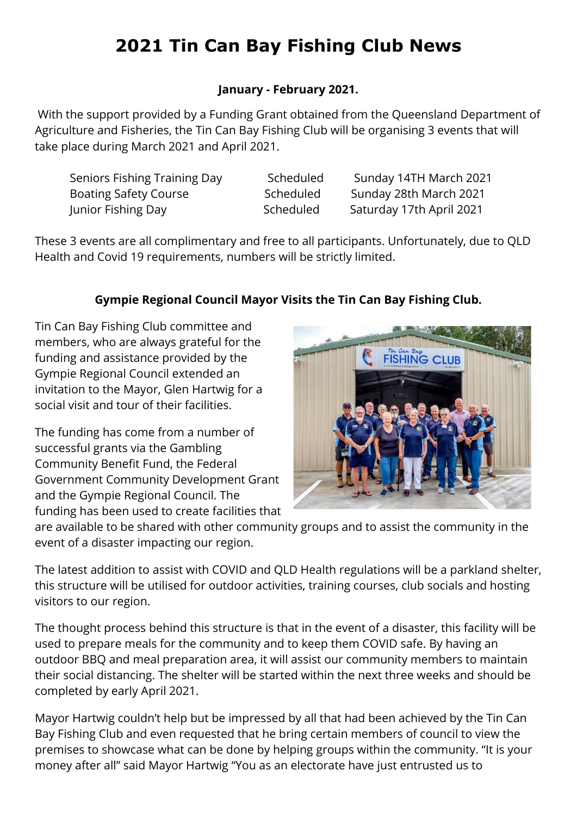# **2021 Tin Can Bay Fishing Club News**

## **January - February 2021.**

With the support provided by a Funding Grant obtained from the Queensland Department of Agriculture and Fisheries, the Tin Can Bay Fishing Club will be organising 3 events that will take place during March 2021 and April 2021.

Seniors Fishing Training Day Scheduled Sunday 14TH March 2021 Boating Safety Course Scheduled Sunday 28th March 2021 Junior Fishing Day Scheduled Saturday 17th April 2021

These 3 events are all complimentary and free to all participants. Unfortunately, due to QLD Health and Covid 19 requirements, numbers will be strictly limited.

# **Gympie Regional Council Mayor Visits the Tin Can Bay Fishing Club.**

Tin Can Bay Fishing Club committee and members, who are always grateful for the funding and assistance provided by the Gympie Regional Council extended an invitation to the Mayor, Glen Hartwig for a social visit and tour of their facilities.

The funding has come from a number of successful grants via the Gambling Community Benefit Fund, the Federal Government Community Development Grant and the Gympie Regional Council. The funding has been used to create facilities that



are available to be shared with other community groups and to assist the community in the event of a disaster impacting our region.

The latest addition to assist with COVID and QLD Health regulations will be a parkland shelter, this structure will be utilised for outdoor activities, training courses, club socials and hosting visitors to our region.

The thought process behind this structure is that in the event of a disaster, this facility will be used to prepare meals for the community and to keep them COVID safe. By having an outdoor BBQ and meal preparation area, it will assist our community members to maintain their social distancing. The shelter will be started within the next three weeks and should be completed by early April 2021.

Mayor Hartwig couldn't help but be impressed by all that had been achieved by the Tin Can Bay Fishing Club and even requested that he bring certain members of council to view the premises to showcase what can be done by helping groups within the community. "It is your money after all" said Mayor Hartwig "You as an electorate have just entrusted us to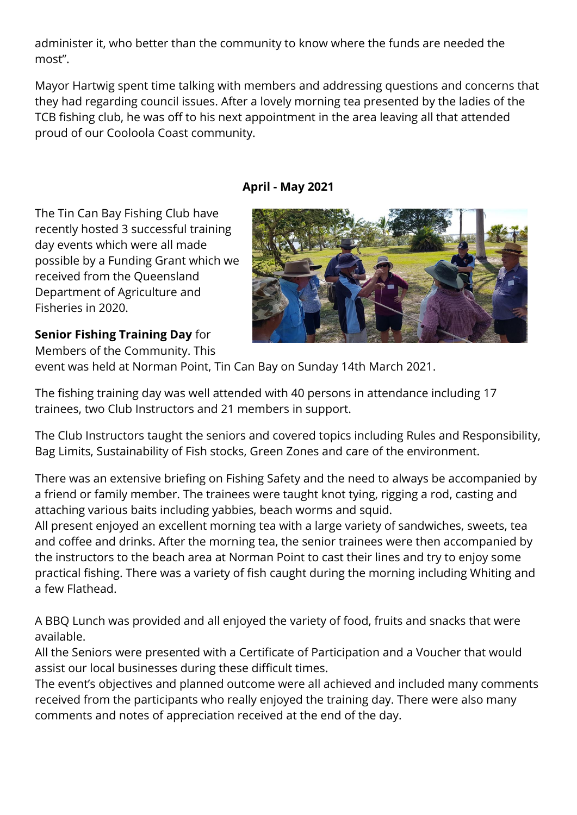administer it, who better than the community to know where the funds are needed the most".

Mayor Hartwig spent time talking with members and addressing questions and concerns that they had regarding council issues. After a lovely morning tea presented by the ladies of the TCB fishing club, he was off to his next appointment in the area leaving all that attended proud of our Cooloola Coast community.

### **April - May 2021**

The Tin Can Bay Fishing Club have recently hosted 3 successful training day events which were all made possible by a Funding Grant which we received from the Queensland Department of Agriculture and Fisheries in 2020.

# **Senior Fishing Training Day** for

Members of the Community. This

event was held at Norman Point, Tin Can Bay on Sunday 14th March 2021.

The fishing training day was well attended with 40 persons in attendance including 17 trainees, two Club Instructors and 21 members in support.

The Club Instructors taught the seniors and covered topics including Rules and Responsibility, Bag Limits, Sustainability of Fish stocks, Green Zones and care of the environment.

There was an extensive briefing on Fishing Safety and the need to always be accompanied by a friend or family member. The trainees were taught knot tying, rigging a rod, casting and attaching various baits including yabbies, beach worms and squid.

All present enjoyed an excellent morning tea with a large variety of sandwiches, sweets, tea and coffee and drinks. After the morning tea, the senior trainees were then accompanied by the instructors to the beach area at Norman Point to cast their lines and try to enjoy some practical fishing. There was a variety of fish caught during the morning including Whiting and a few Flathead.

A BBQ Lunch was provided and all enjoyed the variety of food, fruits and snacks that were available.

All the Seniors were presented with a Certificate of Participation and a Voucher that would assist our local businesses during these difficult times.

The event's objectives and planned outcome were all achieved and included many comments received from the participants who really enjoyed the training day. There were also many comments and notes of appreciation received at the end of the day.

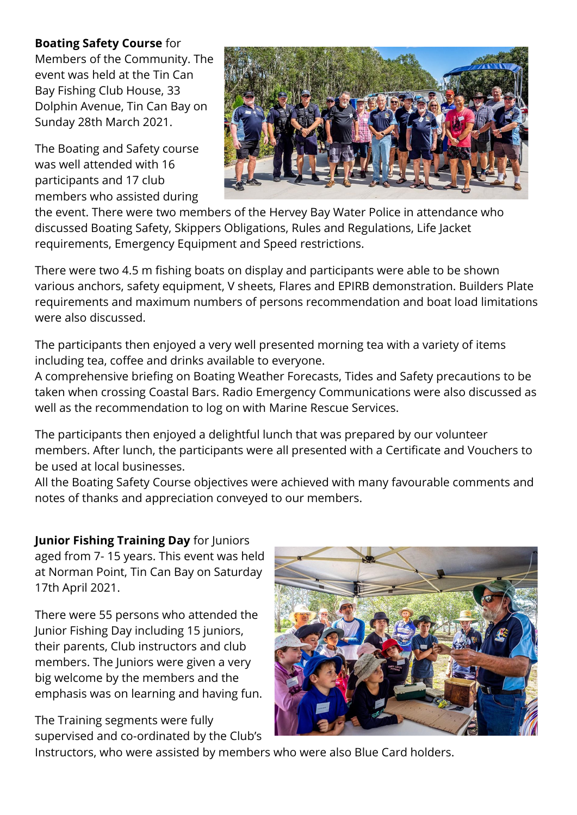### **Boating Safety Course** for

Members of the Community. The event was held at the Tin Can Bay Fishing Club House, 33 Dolphin Avenue, Tin Can Bay on Sunday 28th March 2021.

The Boating and Safety course was well attended with 16 participants and 17 club members who assisted during



the event. There were two members of the Hervey Bay Water Police in attendance who discussed Boating Safety, Skippers Obligations, Rules and Regulations, Life Jacket requirements, Emergency Equipment and Speed restrictions.

There were two 4.5 m fishing boats on display and participants were able to be shown various anchors, safety equipment, V sheets, Flares and EPIRB demonstration. Builders Plate requirements and maximum numbers of persons recommendation and boat load limitations were also discussed.

The participants then enjoyed a very well presented morning tea with a variety of items including tea, coffee and drinks available to everyone.

A comprehensive briefing on Boating Weather Forecasts, Tides and Safety precautions to be taken when crossing Coastal Bars. Radio Emergency Communications were also discussed as well as the recommendation to log on with Marine Rescue Services.

The participants then enjoyed a delightful lunch that was prepared by our volunteer members. After lunch, the participants were all presented with a Certificate and Vouchers to be used at local businesses.

All the Boating Safety Course objectives were achieved with many favourable comments and notes of thanks and appreciation conveyed to our members.

## **Junior Fishing Training Day** for Juniors

aged from 7- 15 years. This event was held at Norman Point, Tin Can Bay on Saturday 17th April 2021.

There were 55 persons who attended the Junior Fishing Day including 15 juniors, their parents, Club instructors and club members. The Juniors were given a very big welcome by the members and the emphasis was on learning and having fun.

The Training segments were fully supervised and co-ordinated by the Club's



Instructors, who were assisted by members who were also Blue Card holders.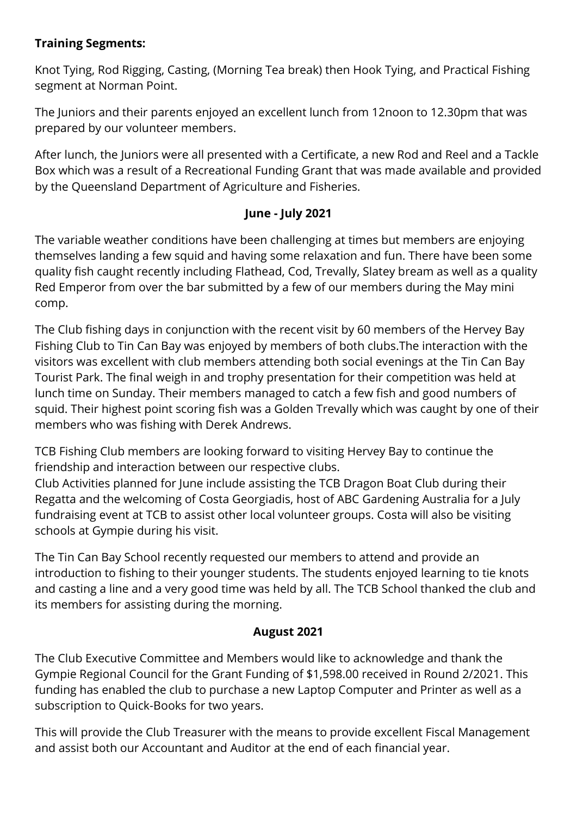## **Training Segments:**

Knot Tying, Rod Rigging, Casting, (Morning Tea break) then Hook Tying, and Practical Fishing segment at Norman Point.

The Juniors and their parents enjoyed an excellent lunch from 12noon to 12.30pm that was prepared by our volunteer members.

After lunch, the Juniors were all presented with a Certificate, a new Rod and Reel and a Tackle Box which was a result of a Recreational Funding Grant that was made available and provided by the Queensland Department of Agriculture and Fisheries.

## **June - July 2021**

The variable weather conditions have been challenging at times but members are enjoying themselves landing a few squid and having some relaxation and fun. There have been some quality fish caught recently including Flathead, Cod, Trevally, Slatey bream as well as a quality Red Emperor from over the bar submitted by a few of our members during the May mini comp.

The Club fishing days in conjunction with the recent visit by 60 members of the Hervey Bay Fishing Club to Tin Can Bay was enjoyed by members of both clubs.The interaction with the visitors was excellent with club members attending both social evenings at the Tin Can Bay Tourist Park. The final weigh in and trophy presentation for their competition was held at lunch time on Sunday. Their members managed to catch a few fish and good numbers of squid. Their highest point scoring fish was a Golden Trevally which was caught by one of their members who was fishing with Derek Andrews.

TCB Fishing Club members are looking forward to visiting Hervey Bay to continue the friendship and interaction between our respective clubs.

Club Activities planned for June include assisting the TCB Dragon Boat Club during their Regatta and the welcoming of Costa Georgiadis, host of ABC Gardening Australia for a July fundraising event at TCB to assist other local volunteer groups. Costa will also be visiting schools at Gympie during his visit.

The Tin Can Bay School recently requested our members to attend and provide an introduction to fishing to their younger students. The students enjoyed learning to tie knots and casting a line and a very good time was held by all. The TCB School thanked the club and its members for assisting during the morning.

#### **August 2021**

The Club Executive Committee and Members would like to acknowledge and thank the Gympie Regional Council for the Grant Funding of \$1,598.00 received in Round 2/2021. This funding has enabled the club to purchase a new Laptop Computer and Printer as well as a subscription to Quick-Books for two years.

This will provide the Club Treasurer with the means to provide excellent Fiscal Management and assist both our Accountant and Auditor at the end of each financial year.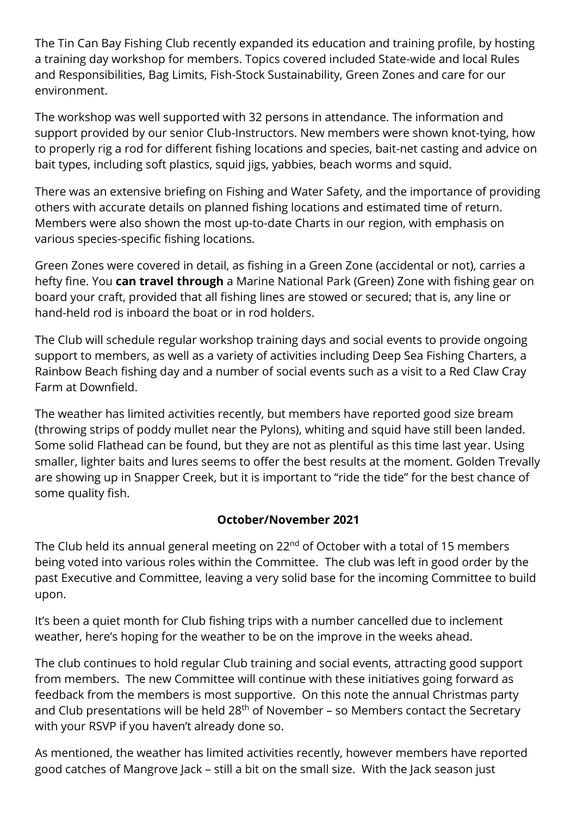The Tin Can Bay Fishing Club recently expanded its education and training profile, by hosting a training day workshop for members. Topics covered included State-wide and local Rules and Responsibilities, Bag Limits, Fish-Stock Sustainability, Green Zones and care for our environment.

The workshop was well supported with 32 persons in attendance. The information and support provided by our senior Club-Instructors. New members were shown knot-tying, how to properly rig a rod for different fishing locations and species, bait-net casting and advice on bait types, including soft plastics, squid jigs, yabbies, beach worms and squid.

There was an extensive briefing on Fishing and Water Safety, and the importance of providing others with accurate details on planned fishing locations and estimated time of return. Members were also shown the most up-to-date Charts in our region, with emphasis on various species-specific fishing locations.

Green Zones were covered in detail, as fishing in a Green Zone (accidental or not), carries a hefty fine. You **can travel through** a Marine National Park (Green) Zone with fishing gear on board your craft, provided that all fishing lines are stowed or secured; that is, any line or hand-held rod is inboard the boat or in rod holders.

The Club will schedule regular workshop training days and social events to provide ongoing support to members, as well as a variety of activities including Deep Sea Fishing Charters, a Rainbow Beach fishing day and a number of social events such as a visit to a Red Claw Cray Farm at Downfield.

The weather has limited activities recently, but members have reported good size bream (throwing strips of poddy mullet near the Pylons), whiting and squid have still been landed. Some solid Flathead can be found, but they are not as plentiful as this time last year. Using smaller, lighter baits and lures seems to offer the best results at the moment. Golden Trevally are showing up in Snapper Creek, but it is important to "ride the tide" for the best chance of some quality fish.

## **October/November 2021**

The Club held its annual general meeting on  $22<sup>nd</sup>$  of October with a total of 15 members being voted into various roles within the Committee. The club was left in good order by the past Executive and Committee, leaving a very solid base for the incoming Committee to build upon.

It's been a quiet month for Club fishing trips with a number cancelled due to inclement weather, here's hoping for the weather to be on the improve in the weeks ahead.

The club continues to hold regular Club training and social events, attracting good support from members. The new Committee will continue with these initiatives going forward as feedback from the members is most supportive. On this note the annual Christmas party and Club presentations will be held  $28<sup>th</sup>$  of November – so Members contact the Secretary with your RSVP if you haven't already done so.

As mentioned, the weather has limited activities recently, however members have reported good catches of Mangrove Jack – still a bit on the small size. With the Jack season just